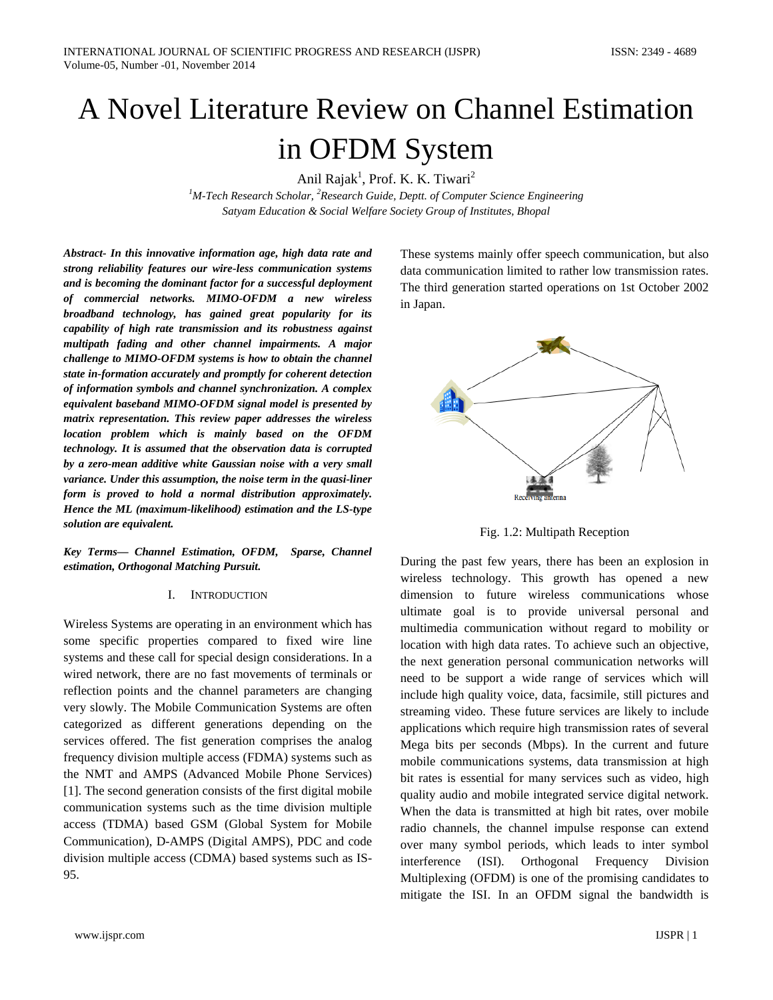# A Novel Literature Review on Channel Estimation in OFDM System

Anil Rajak<sup>1</sup>, Prof. K. K. Tiwari<sup>2</sup>

*1 M-Tech Research Scholar, <sup>2</sup> Research Guide, Deptt. of Computer Science Engineering Satyam Education & Social Welfare Society Group of Institutes, Bhopal*

*Abstract- In this innovative information age, high data rate and strong reliability features our wire-less communication systems and is becoming the dominant factor for a successful deployment of commercial networks. MIMO-OFDM a new wireless broadband technology, has gained great popularity for its capability of high rate transmission and its robustness against multipath fading and other channel impairments. A major challenge to MIMO-OFDM systems is how to obtain the channel state in-formation accurately and promptly for coherent detection of information symbols and channel synchronization. A complex equivalent baseband MIMO-OFDM signal model is presented by matrix representation. This review paper addresses the wireless location problem which is mainly based on the OFDM technology. It is assumed that the observation data is corrupted by a zero-mean additive white Gaussian noise with a very small variance. Under this assumption, the noise term in the quasi-liner form is proved to hold a normal distribution approximately. Hence the ML (maximum-likelihood) estimation and the LS-type solution are equivalent.*

*Key Terms— Channel Estimation, OFDM, Sparse, Channel estimation, Orthogonal Matching Pursuit.*

## I. INTRODUCTION

Wireless Systems are operating in an environment which has some specific properties compared to fixed wire line systems and these call for special design considerations. In a wired network, there are no fast movements of terminals or reflection points and the channel parameters are changing very slowly. The Mobile Communication Systems are often categorized as different generations depending on the services offered. The fist generation comprises the analog frequency division multiple access (FDMA) systems such as the NMT and AMPS (Advanced Mobile Phone Services) [1]. The second generation consists of the first digital mobile communication systems such as the time division multiple access (TDMA) based GSM (Global System for Mobile Communication), D-AMPS (Digital AMPS), PDC and code division multiple access (CDMA) based systems such as IS-95.

These systems mainly offer speech communication, but also data communication limited to rather low transmission rates. The third generation started operations on 1st October 2002 in Japan.



Fig. 1.2: Multipath Reception

During the past few years, there has been an explosion in wireless technology. This growth has opened a new dimension to future wireless communications whose ultimate goal is to provide universal personal and multimedia communication without regard to mobility or location with high data rates. To achieve such an objective, the next generation personal communication networks will need to be support a wide range of services which will include high quality voice, data, facsimile, still pictures and streaming video. These future services are likely to include applications which require high transmission rates of several Mega bits per seconds (Mbps). In the current and future mobile communications systems, data transmission at high bit rates is essential for many services such as video, high quality audio and mobile integrated service digital network. When the data is transmitted at high bit rates, over mobile radio channels, the channel impulse response can extend over many symbol periods, which leads to inter symbol interference (ISI). Orthogonal Frequency Division Multiplexing (OFDM) is one of the promising candidates to mitigate the ISI. In an OFDM signal the bandwidth is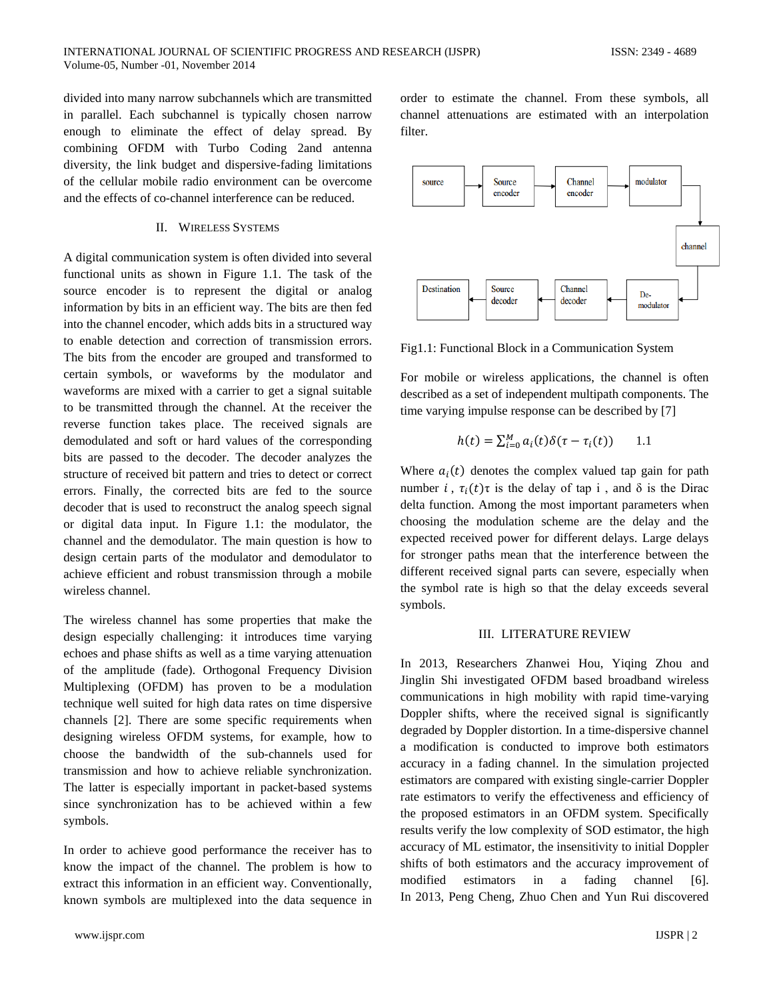divided into many narrow subchannels which are transmitted in parallel. Each subchannel is typically chosen narrow enough to eliminate the effect of delay spread. By combining OFDM with Turbo Coding 2and antenna diversity, the link budget and dispersive-fading limitations of the cellular mobile radio environment can be overcome and the effects of co-channel interference can be reduced.

## II. WIRELESS SYSTEMS

A digital communication system is often divided into several functional units as shown in Figure 1.1. The task of the source encoder is to represent the digital or analog information by bits in an efficient way. The bits are then fed into the channel encoder, which adds bits in a structured way to enable detection and correction of transmission errors. The bits from the encoder are grouped and transformed to certain symbols, or waveforms by the modulator and waveforms are mixed with a carrier to get a signal suitable to be transmitted through the channel. At the receiver the reverse function takes place. The received signals are demodulated and soft or hard values of the corresponding bits are passed to the decoder. The decoder analyzes the structure of received bit pattern and tries to detect or correct errors. Finally, the corrected bits are fed to the source decoder that is used to reconstruct the analog speech signal or digital data input. In Figure 1.1: the modulator, the channel and the demodulator. The main question is how to design certain parts of the modulator and demodulator to achieve efficient and robust transmission through a mobile wireless channel.

The wireless channel has some properties that make the design especially challenging: it introduces time varying echoes and phase shifts as well as a time varying attenuation of the amplitude (fade). Orthogonal Frequency Division Multiplexing (OFDM) has proven to be a modulation technique well suited for high data rates on time dispersive channels [2]. There are some specific requirements when designing wireless OFDM systems, for example, how to choose the bandwidth of the sub-channels used for transmission and how to achieve reliable synchronization. The latter is especially important in packet-based systems since synchronization has to be achieved within a few symbols.

In order to achieve good performance the receiver has to know the impact of the channel. The problem is how to extract this information in an efficient way. Conventionally, known symbols are multiplexed into the data sequence in

order to estimate the channel. From these symbols, all channel attenuations are estimated with an interpolation filter.



Fig1.1: Functional Block in a Communication System

For mobile or wireless applications, the channel is often described as a set of independent multipath components. The time varying impulse response can be described by [7]

$$
h(t) = \sum_{i=0}^{M} a_i(t) \delta(\tau - \tau_i(t)) \qquad 1.1
$$

Where  $a_i(t)$  denotes the complex valued tap gain for path number  $i$ ,  $\tau_i(t)\tau$  is the delay of tap i, and  $\delta$  is the Dirac delta function. Among the most important parameters when choosing the modulation scheme are the delay and the expected received power for different delays. Large delays for stronger paths mean that the interference between the different received signal parts can severe, especially when the symbol rate is high so that the delay exceeds several symbols.

## III. LITERATURE REVIEW

In 2013, Researchers Zhanwei Hou, Yiqing Zhou and Jinglin Shi investigated OFDM based broadband wireless communications in high mobility with rapid time-varying Doppler shifts, where the received signal is significantly degraded by Doppler distortion. In a time-dispersive channel a modification is conducted to improve both estimators accuracy in a fading channel. In the simulation projected estimators are compared with existing single-carrier Doppler rate estimators to verify the effectiveness and efficiency of the proposed estimators in an OFDM system. Specifically results verify the low complexity of SOD estimator, the high accuracy of ML estimator, the insensitivity to initial Doppler shifts of both estimators and the accuracy improvement of modified estimators in a fading channel [6]. In 2013, Peng Cheng, Zhuo Chen and Yun Rui discovered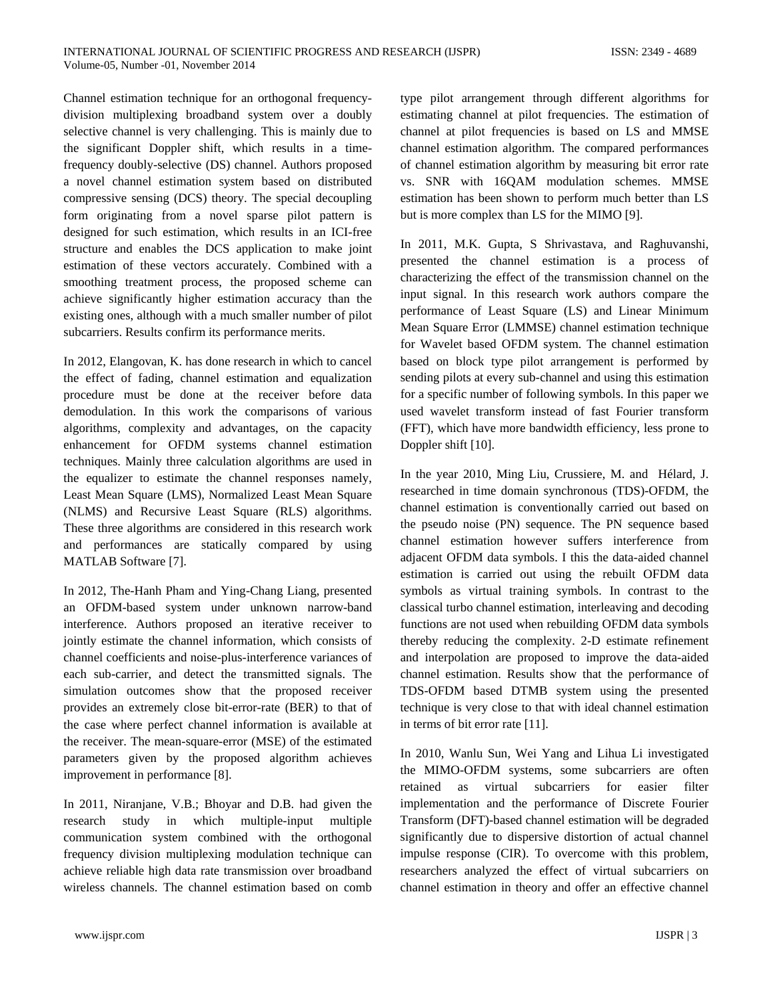Channel estimation technique for an orthogonal frequencydivision multiplexing broadband system over a doubly selective channel is very challenging. This is mainly due to the significant Doppler shift, which results in a timefrequency doubly-selective (DS) channel. Authors proposed a novel channel estimation system based on distributed compressive sensing (DCS) theory. The special decoupling form originating from a novel sparse pilot pattern is designed for such estimation, which results in an ICI-free structure and enables the DCS application to make joint estimation of these vectors accurately. Combined with a smoothing treatment process, the proposed scheme can achieve significantly higher estimation accuracy than the existing ones, although with a much smaller number of pilot subcarriers. Results confirm its performance merits.

In 2012, Elangovan, K. has done research in which to cancel the effect of fading, channel estimation and equalization procedure must be done at the receiver before data demodulation. In this work the comparisons of various algorithms, complexity and advantages, on the capacity enhancement for OFDM systems channel estimation techniques. Mainly three calculation algorithms are used in the equalizer to estimate the channel responses namely, Least Mean Square (LMS), Normalized Least Mean Square (NLMS) and Recursive Least Square (RLS) algorithms. These three algorithms are considered in this research work and performances are statically compared by using MATLAB Software [7].

In 2012, The-Hanh Pham and Ying-Chang Liang, presented an OFDM-based system under unknown narrow-band interference. Authors proposed an iterative receiver to jointly estimate the channel information, which consists of channel coefficients and noise-plus-interference variances of each sub-carrier, and detect the transmitted signals. The simulation outcomes show that the proposed receiver provides an extremely close bit-error-rate (BER) to that of the case where perfect channel information is available at the receiver. The mean-square-error (MSE) of the estimated parameters given by the proposed algorithm achieves improvement in performance [8].

In 2011, Niranjane, V.B.; Bhoyar and D.B. had given the research study in which multiple-input multiple communication system combined with the orthogonal frequency division multiplexing modulation technique can achieve reliable high data rate transmission over broadband wireless channels. The channel estimation based on comb type pilot arrangement through different algorithms for estimating channel at pilot frequencies. The estimation of channel at pilot frequencies is based on LS and MMSE channel estimation algorithm. The compared performances of channel estimation algorithm by measuring bit error rate vs. SNR with 16QAM modulation schemes. MMSE estimation has been shown to perform much better than LS but is more complex than LS for the MIMO [9].

In 2011, M.K. Gupta, S Shrivastava, and Raghuvanshi, presented the channel estimation is a process of characterizing the effect of the transmission channel on the input signal. In this research work authors compare the performance of Least Square (LS) and Linear Minimum Mean Square Error (LMMSE) channel estimation technique for Wavelet based OFDM system. The channel estimation based on block type pilot arrangement is performed by sending pilots at every sub-channel and using this estimation for a specific number of following symbols. In this paper we used wavelet transform instead of fast Fourier transform (FFT), which have more bandwidth efficiency, less prone to Doppler shift [10].

In the year 2010, Ming Liu, Crussiere, M. and Hélard, J. researched in time domain synchronous (TDS)-OFDM, the channel estimation is conventionally carried out based on the pseudo noise (PN) sequence. The PN sequence based channel estimation however suffers interference from adjacent OFDM data symbols. I this the data-aided channel estimation is carried out using the rebuilt OFDM data symbols as virtual training symbols. In contrast to the classical turbo channel estimation, interleaving and decoding functions are not used when rebuilding OFDM data symbols thereby reducing the complexity. 2-D estimate refinement and interpolation are proposed to improve the data-aided channel estimation. Results show that the performance of TDS-OFDM based DTMB system using the presented technique is very close to that with ideal channel estimation in terms of bit error rate [11].

In 2010, Wanlu Sun, Wei Yang and Lihua Li investigated the MIMO-OFDM systems, some subcarriers are often retained as virtual subcarriers for easier filter implementation and the performance of Discrete Fourier Transform (DFT)-based channel estimation will be degraded significantly due to dispersive distortion of actual channel impulse response (CIR). To overcome with this problem, researchers analyzed the effect of virtual subcarriers on channel estimation in theory and offer an effective channel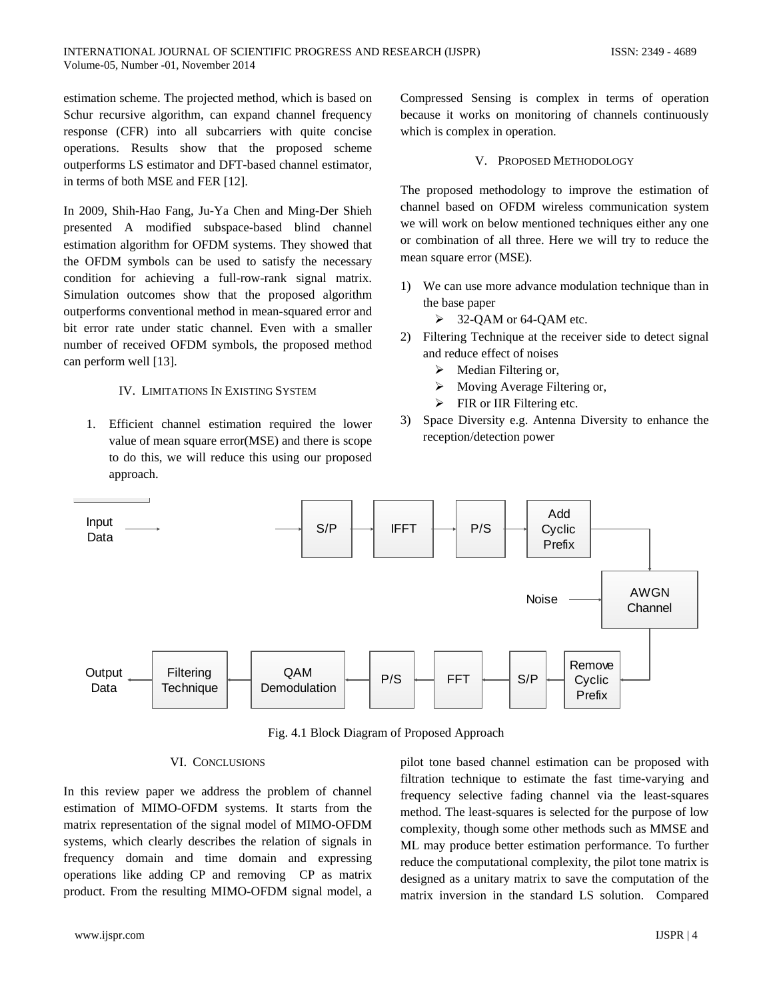estimation scheme. The projected method, which is based on Schur recursive algorithm, can expand channel frequency response (CFR) into all subcarriers with quite concise operations. Results show that the proposed scheme outperforms LS estimator and DFT-based channel estimator, in terms of both MSE and FER [12].

In 2009, Shih-Hao Fang, Ju-Ya Chen and Ming-Der Shieh presented A modified subspace-based blind channel estimation algorithm for OFDM systems. They showed that the OFDM symbols can be used to satisfy the necessary condition for achieving a full-row-rank signal matrix. Simulation outcomes show that the proposed algorithm outperforms conventional method in mean-squared error and bit error rate under static channel. Even with a smaller number of received OFDM symbols, the proposed method can perform well [13].

## IV. LIMITATIONS IN EXISTING SYSTEM

1. Efficient channel estimation required the lower value of mean square error(MSE) and there is scope to do this, we will reduce this using our proposed approach.

Compressed Sensing is complex in terms of operation because it works on monitoring of channels continuously which is complex in operation.

## V. PROPOSED METHODOLOGY

The proposed methodology to improve the estimation of channel based on OFDM wireless communication system we will work on below mentioned techniques either any one or combination of all three. Here we will try to reduce the mean square error (MSE).

- 1) We can use more advance modulation technique than in the base paper
	- $\geq$  32-QAM or 64-QAM etc.
- 2) Filtering Technique at the receiver side to detect signal and reduce effect of noises
	- $\triangleright$  Median Filtering or,
	- Moving Average Filtering or,
	- $\triangleright$  FIR or IIR Filtering etc.
- 3) Space Diversity e.g. Antenna Diversity to enhance the reception/detection power



Fig. 4.1 Block Diagram of Proposed Approach

#### VI. CONCLUSIONS

In this review paper we address the problem of channel estimation of MIMO-OFDM systems. It starts from the matrix representation of the signal model of MIMO-OFDM systems, which clearly describes the relation of signals in frequency domain and time domain and expressing operations like adding CP and removing CP as matrix product. From the resulting MIMO-OFDM signal model, a pilot tone based channel estimation can be proposed with filtration technique to estimate the fast time-varying and frequency selective fading channel via the least-squares method. The least-squares is selected for the purpose of low complexity, though some other methods such as MMSE and ML may produce better estimation performance. To further reduce the computational complexity, the pilot tone matrix is designed as a unitary matrix to save the computation of the matrix inversion in the standard LS solution. Compared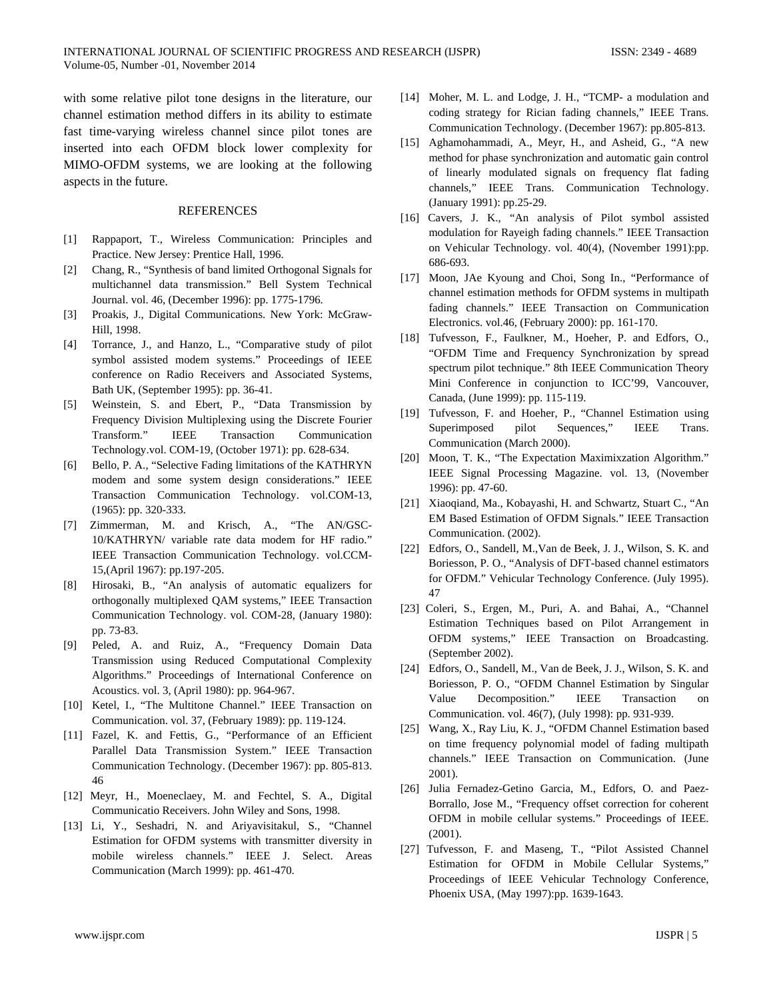with some relative pilot tone designs in the literature, our channel estimation method differs in its ability to estimate fast time-varying wireless channel since pilot tones are inserted into each OFDM block lower complexity for MIMO-OFDM systems, we are looking at the following aspects in the future.

## **REFERENCES**

- [1] Rappaport, T., Wireless Communication: Principles and Practice. New Jersey: Prentice Hall, 1996.
- [2] Chang, R., "Synthesis of band limited Orthogonal Signals for multichannel data transmission." Bell System Technical Journal. vol. 46, (December 1996): pp. 1775-1796.
- [3] Proakis, J., Digital Communications. New York: McGraw-Hill, 1998.
- [4] Torrance, J., and Hanzo, L., "Comparative study of pilot symbol assisted modem systems." Proceedings of IEEE conference on Radio Receivers and Associated Systems, Bath UK, (September 1995): pp. 36-41.
- [5] Weinstein, S. and Ebert, P., "Data Transmission by Frequency Division Multiplexing using the Discrete Fourier Transform." IEEE Transaction Communication Technology.vol. COM-19, (October 1971): pp. 628-634.
- [6] Bello, P. A., "Selective Fading limitations of the KATHRYN modem and some system design considerations." IEEE Transaction Communication Technology. vol.COM-13, (1965): pp. 320-333.
- [7] Zimmerman, M. and Krisch, A., "The AN/GSC-10/KATHRYN/ variable rate data modem for HF radio." IEEE Transaction Communication Technology. vol.CCM-15,(April 1967): pp.197-205.
- [8] Hirosaki, B., "An analysis of automatic equalizers for orthogonally multiplexed QAM systems," IEEE Transaction Communication Technology. vol. COM-28, (January 1980): pp. 73-83.
- [9] Peled, A. and Ruiz, A., "Frequency Domain Data Transmission using Reduced Computational Complexity Algorithms." Proceedings of International Conference on Acoustics. vol. 3, (April 1980): pp. 964-967.
- [10] Ketel, I., "The Multitone Channel." IEEE Transaction on Communication. vol. 37, (February 1989): pp. 119-124.
- [11] Fazel, K. and Fettis, G., "Performance of an Efficient Parallel Data Transmission System." IEEE Transaction Communication Technology. (December 1967): pp. 805-813. 46
- [12] Meyr, H., Moeneclaey, M. and Fechtel, S. A., Digital Communicatio Receivers. John Wiley and Sons, 1998.
- [13] Li, Y., Seshadri, N. and Ariyavisitakul, S., "Channel Estimation for OFDM systems with transmitter diversity in mobile wireless channels." IEEE J. Select. Areas Communication (March 1999): pp. 461-470.
- [14] Moher, M. L. and Lodge, J. H., "TCMP- a modulation and coding strategy for Rician fading channels," IEEE Trans. Communication Technology. (December 1967): pp.805-813.
- [15] Aghamohammadi, A., Meyr, H., and Asheid, G., "A new method for phase synchronization and automatic gain control of linearly modulated signals on frequency flat fading channels," IEEE Trans. Communication Technology. (January 1991): pp.25-29.
- [16] Cavers, J. K., "An analysis of Pilot symbol assisted modulation for Rayeigh fading channels." IEEE Transaction on Vehicular Technology. vol. 40(4), (November 1991):pp. 686-693.
- [17] Moon, JAe Kyoung and Choi, Song In., "Performance of channel estimation methods for OFDM systems in multipath fading channels." IEEE Transaction on Communication Electronics. vol.46, (February 2000): pp. 161-170.
- [18] Tufvesson, F., Faulkner, M., Hoeher, P. and Edfors, O., "OFDM Time and Frequency Synchronization by spread spectrum pilot technique." 8th IEEE Communication Theory Mini Conference in conjunction to ICC'99, Vancouver, Canada, (June 1999): pp. 115-119.
- [19] Tufvesson, F. and Hoeher, P., "Channel Estimation using Superimposed pilot Sequences," IEEE Trans. Communication (March 2000).
- [20] Moon, T. K., "The Expectation Maximixzation Algorithm." IEEE Signal Processing Magazine. vol. 13, (November 1996): pp. 47-60.
- [21] Xiaoqiand, Ma., Kobayashi, H. and Schwartz, Stuart C., "An EM Based Estimation of OFDM Signals." IEEE Transaction Communication. (2002).
- [22] Edfors, O., Sandell, M.,Van de Beek, J. J., Wilson, S. K. and Boriesson, P. O., "Analysis of DFT-based channel estimators for OFDM." Vehicular Technology Conference. (July 1995). 47
- [23] Coleri, S., Ergen, M., Puri, A. and Bahai, A., "Channel Estimation Techniques based on Pilot Arrangement in OFDM systems," IEEE Transaction on Broadcasting. (September 2002).
- [24] Edfors, O., Sandell, M., Van de Beek, J. J., Wilson, S. K. and Boriesson, P. O., "OFDM Channel Estimation by Singular Value Decomposition." IEEE Transaction on Communication. vol. 46(7), (July 1998): pp. 931-939.
- [25] Wang, X., Ray Liu, K. J., "OFDM Channel Estimation based on time frequency polynomial model of fading multipath channels." IEEE Transaction on Communication. (June 2001).
- [26] Julia Fernadez-Getino Garcia, M., Edfors, O. and Paez-Borrallo, Jose M., "Frequency offset correction for coherent OFDM in mobile cellular systems." Proceedings of IEEE. (2001).
- [27] Tufvesson, F. and Maseng, T., "Pilot Assisted Channel Estimation for OFDM in Mobile Cellular Systems," Proceedings of IEEE Vehicular Technology Conference, Phoenix USA, (May 1997):pp. 1639-1643.